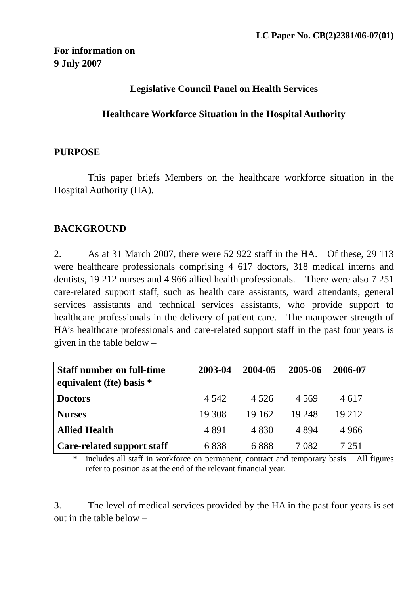## **Legislative Council Panel on Health Services**

#### **Healthcare Workforce Situation in the Hospital Authority**

#### **PURPOSE**

 This paper briefs Members on the healthcare workforce situation in the Hospital Authority (HA).

## **BACKGROUND**

2. As at 31 March 2007, there were 52 922 staff in the HA. Of these, 29 113 were healthcare professionals comprising 4 617 doctors, 318 medical interns and dentists, 19 212 nurses and 4 966 allied health professionals. There were also 7 251 care-related support staff, such as health care assistants, ward attendants, general services assistants and technical services assistants, who provide support to healthcare professionals in the delivery of patient care. The manpower strength of HA's healthcare professionals and care-related support staff in the past four years is given in the table below –

| <b>Staff number on full-time</b><br>equivalent (fte) basis * | 2003-04 | 2004-05 | 2005-06 | 2006-07 |
|--------------------------------------------------------------|---------|---------|---------|---------|
| <b>Doctors</b>                                               | 4 5 4 2 | 4 5 2 6 | 4 5 6 9 | 4 6 17  |
| <b>Nurses</b>                                                | 19 308  | 19 162  | 19 248  | 19 212  |
| <b>Allied Health</b>                                         | 4891    | 4 8 3 0 | 4 8 9 4 | 4 9 6 6 |
| Care-related support staff                                   | 6838    | 6888    | 7 0 8 2 | 7 2 5 1 |

includes all staff in workforce on permanent, contract and temporary basis. All figures refer to position as at the end of the relevant financial year.

3. The level of medical services provided by the HA in the past four years is set out in the table below –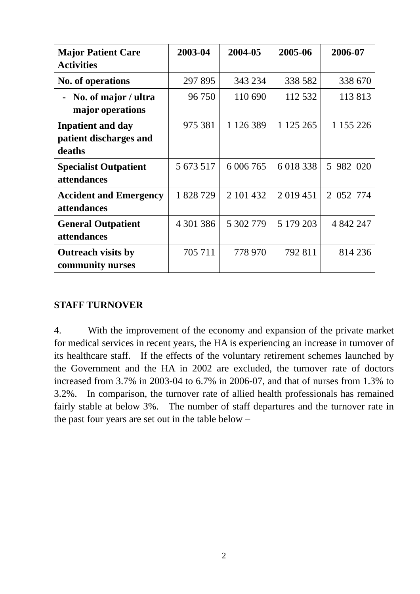| <b>Major Patient Care</b>                                    | 2003-04   | 2004-05   | 2005-06       | 2006-07   |  |
|--------------------------------------------------------------|-----------|-----------|---------------|-----------|--|
| <b>Activities</b>                                            |           |           |               |           |  |
| <b>No. of operations</b>                                     | 297 895   | 343 234   | 338 582       | 338 670   |  |
| No. of major / ultra<br>major operations                     | 96 750    | 110 690   | 112 532       | 113 813   |  |
| <b>Inpatient and day</b><br>patient discharges and<br>deaths | 975 381   | 1 126 389 | 1 125 265     | 1 155 226 |  |
| <b>Specialist Outpatient</b><br>attendances                  | 5 673 517 | 6 006 765 | 6 018 338     | 5 982 020 |  |
| <b>Accident and Emergency</b><br>attendances                 | 1828729   | 2 101 432 | 2 0 1 9 4 5 1 | 2 052 774 |  |
| <b>General Outpatient</b><br>attendances                     | 4 301 386 | 5 302 779 | 5 179 203     | 4 842 247 |  |
| <b>Outreach visits by</b><br>community nurses                | 705 711   | 778 970   | 792 811       | 814 236   |  |

## **STAFF TURNOVER**

4. With the improvement of the economy and expansion of the private market for medical services in recent years, the HA is experiencing an increase in turnover of its healthcare staff. If the effects of the voluntary retirement schemes launched by the Government and the HA in 2002 are excluded, the turnover rate of doctors increased from 3.7% in 2003-04 to 6.7% in 2006-07, and that of nurses from 1.3% to 3.2%. In comparison, the turnover rate of allied health professionals has remained fairly stable at below 3%. The number of staff departures and the turnover rate in the past four years are set out in the table below –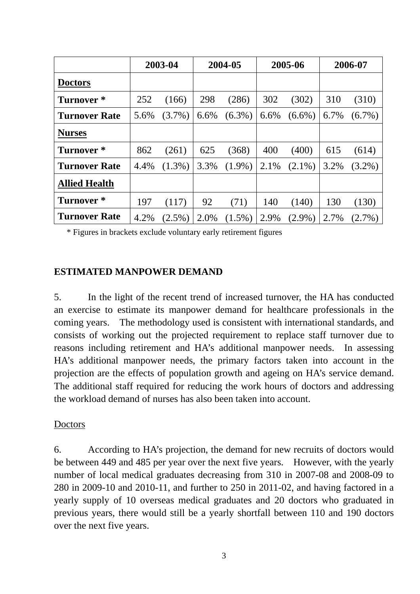|                       |      | 2003-04   | 2004-05 |           | 2005-06 |           | 2006-07 |           |
|-----------------------|------|-----------|---------|-----------|---------|-----------|---------|-----------|
| <b>Doctors</b>        |      |           |         |           |         |           |         |           |
| Turnover *            | 252  | (166)     | 298     | (286)     | 302     | (302)     | 310     | (310)     |
| <b>Turnover Rate</b>  | 5.6% | $(3.7\%)$ | 6.6%    | $(6.3\%)$ | 6.6%    | $(6.6\%)$ | 6.7%    | $(6.7\%)$ |
| <b>Nurses</b>         |      |           |         |           |         |           |         |           |
| Turnover <sup>*</sup> | 862  | (261)     | 625     | (368)     | 400     | (400)     | 615     | (614)     |
| <b>Turnover Rate</b>  | 4.4% | $(1.3\%)$ | 3.3%    | $(1.9\%)$ | 2.1%    | $(2.1\%)$ | 3.2%    | $(3.2\%)$ |
| <b>Allied Health</b>  |      |           |         |           |         |           |         |           |
| Turnover *            | 197  | (117)     | 92      | (71)      | 140     | (140)     | 130     | (130)     |
| <b>Turnover Rate</b>  | 4.2% | $(2.5\%)$ | 2.0%    | $(1.5\%)$ | 2.9%    | $(2.9\%)$ | 2.7%    | $(2.7\%)$ |

\* Figures in brackets exclude voluntary early retirement figures

## **ESTIMATED MANPOWER DEMAND**

5. In the light of the recent trend of increased turnover, the HA has conducted an exercise to estimate its manpower demand for healthcare professionals in the coming years. The methodology used is consistent with international standards, and consists of working out the projected requirement to replace staff turnover due to reasons including retirement and HA's additional manpower needs. In assessing HA's additional manpower needs, the primary factors taken into account in the projection are the effects of population growth and ageing on HA's service demand. The additional staff required for reducing the work hours of doctors and addressing the workload demand of nurses has also been taken into account.

#### Doctors

6. According to HA's projection, the demand for new recruits of doctors would be between 449 and 485 per year over the next five years. However, with the yearly number of local medical graduates decreasing from 310 in 2007-08 and 2008-09 to 280 in 2009-10 and 2010-11, and further to 250 in 2011-02, and having factored in a yearly supply of 10 overseas medical graduates and 20 doctors who graduated in previous years, there would still be a yearly shortfall between 110 and 190 doctors over the next five years.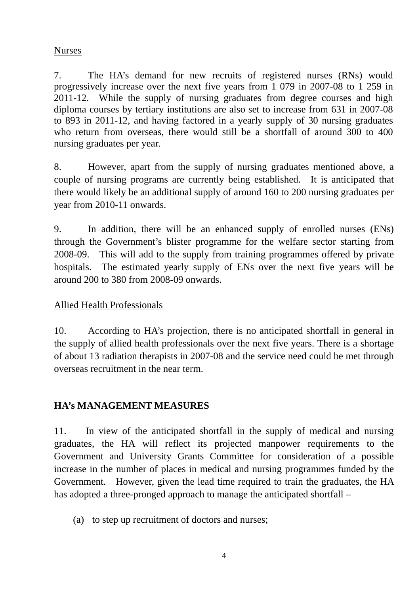## Nurses

7. The HA's demand for new recruits of registered nurses (RNs) would progressively increase over the next five years from 1 079 in 2007-08 to 1 259 in 2011-12. While the supply of nursing graduates from degree courses and high diploma courses by tertiary institutions are also set to increase from 631 in 2007-08 to 893 in 2011-12, and having factored in a yearly supply of 30 nursing graduates who return from overseas, there would still be a shortfall of around 300 to 400 nursing graduates per year.

8. However, apart from the supply of nursing graduates mentioned above, a couple of nursing programs are currently being established. It is anticipated that there would likely be an additional supply of around 160 to 200 nursing graduates per year from 2010-11 onwards.

9. In addition, there will be an enhanced supply of enrolled nurses (ENs) through the Government's blister programme for the welfare sector starting from 2008-09. This will add to the supply from training programmes offered by private hospitals. The estimated yearly supply of ENs over the next five years will be around 200 to 380 from 2008-09 onwards.

# Allied Health Professionals

10. According to HA's projection, there is no anticipated shortfall in general in the supply of allied health professionals over the next five years. There is a shortage of about 13 radiation therapists in 2007-08 and the service need could be met through overseas recruitment in the near term.

# **HA's MANAGEMENT MEASURES**

11. In view of the anticipated shortfall in the supply of medical and nursing graduates, the HA will reflect its projected manpower requirements to the Government and University Grants Committee for consideration of a possible increase in the number of places in medical and nursing programmes funded by the Government. However, given the lead time required to train the graduates, the HA has adopted a three-pronged approach to manage the anticipated shortfall –

(a) to step up recruitment of doctors and nurses;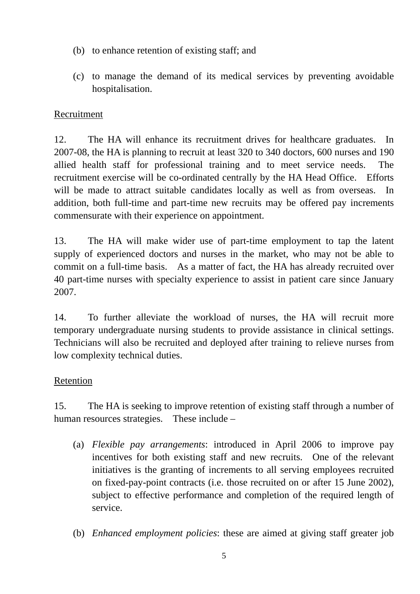- (b) to enhance retention of existing staff; and
- (c) to manage the demand of its medical services by preventing avoidable hospitalisation.

## Recruitment

12. The HA will enhance its recruitment drives for healthcare graduates. In 2007-08, the HA is planning to recruit at least 320 to 340 doctors, 600 nurses and 190 allied health staff for professional training and to meet service needs. The recruitment exercise will be co-ordinated centrally by the HA Head Office. Efforts will be made to attract suitable candidates locally as well as from overseas. In addition, both full-time and part-time new recruits may be offered pay increments commensurate with their experience on appointment.

13. The HA will make wider use of part-time employment to tap the latent supply of experienced doctors and nurses in the market, who may not be able to commit on a full-time basis. As a matter of fact, the HA has already recruited over 40 part-time nurses with specialty experience to assist in patient care since January 2007.

14. To further alleviate the workload of nurses, the HA will recruit more temporary undergraduate nursing students to provide assistance in clinical settings. Technicians will also be recruited and deployed after training to relieve nurses from low complexity technical duties.

## Retention

15. The HA is seeking to improve retention of existing staff through a number of human resources strategies. These include –

- (a) *Flexible pay arrangements*: introduced in April 2006 to improve pay incentives for both existing staff and new recruits. One of the relevant initiatives is the granting of increments to all serving employees recruited on fixed-pay-point contracts (i.e. those recruited on or after 15 June 2002), subject to effective performance and completion of the required length of service.
- (b) *Enhanced employment policies*: these are aimed at giving staff greater job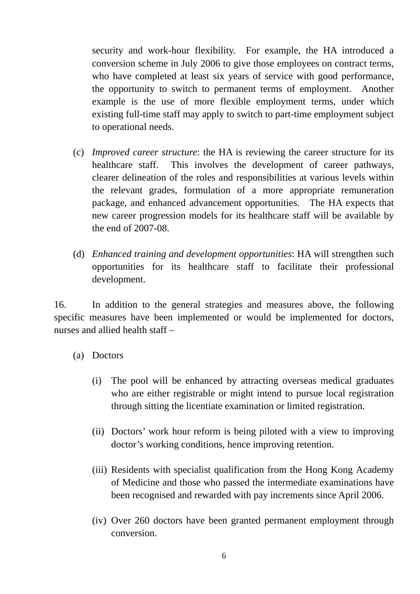security and work-hour flexibility. For example, the HA introduced a conversion scheme in July 2006 to give those employees on contract terms, who have completed at least six years of service with good performance, the opportunity to switch to permanent terms of employment. Another example is the use of more flexible employment terms, under which existing full-time staff may apply to switch to part-time employment subject to operational needs.

- (c) *Improved career structure*: the HA is reviewing the career structure for its healthcare staff. This involves the development of career pathways, clearer delineation of the roles and responsibilities at various levels within the relevant grades, formulation of a more appropriate remuneration package, and enhanced advancement opportunities. The HA expects that new career progression models for its healthcare staff will be available by the end of 2007-08.
- (d) *Enhanced training and development opportunities*: HA will strengthen such opportunities for its healthcare staff to facilitate their professional development.

16. In addition to the general strategies and measures above, the following specific measures have been implemented or would be implemented for doctors, nurses and allied health staff –

- (a) Doctors
	- (i) The pool will be enhanced by attracting overseas medical graduates who are either registrable or might intend to pursue local registration through sitting the licentiate examination or limited registration.
	- (ii) Doctors' work hour reform is being piloted with a view to improving doctor's working conditions, hence improving retention.
	- (iii) Residents with specialist qualification from the Hong Kong Academy of Medicine and those who passed the intermediate examinations have been recognised and rewarded with pay increments since April 2006.
	- (iv) Over 260 doctors have been granted permanent employment through conversion.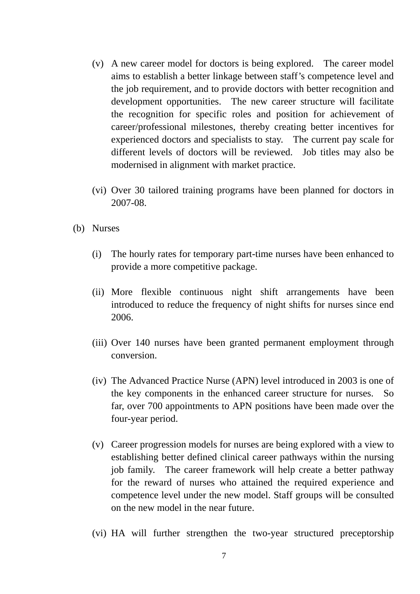- (v) A new career model for doctors is being explored. The career model aims to establish a better linkage between staff's competence level and the job requirement, and to provide doctors with better recognition and development opportunities. The new career structure will facilitate the recognition for specific roles and position for achievement of career/professional milestones, thereby creating better incentives for experienced doctors and specialists to stay. The current pay scale for different levels of doctors will be reviewed. Job titles may also be modernised in alignment with market practice.
- (vi) Over 30 tailored training programs have been planned for doctors in 2007-08.
- (b) Nurses
	- (i) The hourly rates for temporary part-time nurses have been enhanced to provide a more competitive package.
	- (ii) More flexible continuous night shift arrangements have been introduced to reduce the frequency of night shifts for nurses since end 2006.
	- (iii) Over 140 nurses have been granted permanent employment through conversion.
	- (iv) The Advanced Practice Nurse (APN) level introduced in 2003 is one of the key components in the enhanced career structure for nurses. So far, over 700 appointments to APN positions have been made over the four-year period.
	- (v) Career progression models for nurses are being explored with a view to establishing better defined clinical career pathways within the nursing job family. The career framework will help create a better pathway for the reward of nurses who attained the required experience and competence level under the new model. Staff groups will be consulted on the new model in the near future.
	- (vi) HA will further strengthen the two-year structured preceptorship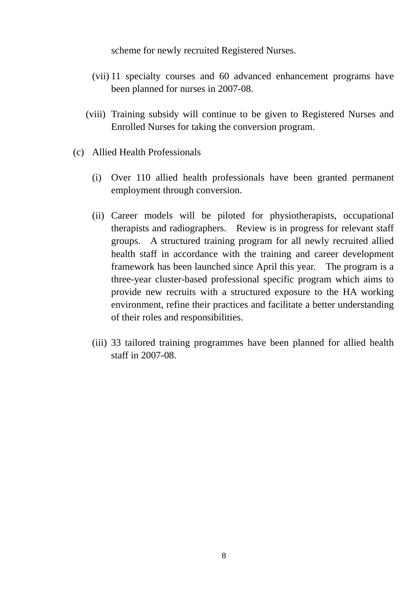scheme for newly recruited Registered Nurses.

- (vii) 11 specialty courses and 60 advanced enhancement programs have been planned for nurses in 2007-08.
- (viii) Training subsidy will continue to be given to Registered Nurses and Enrolled Nurses for taking the conversion program.
- (c) Allied Health Professionals
	- (i) Over 110 allied health professionals have been granted permanent employment through conversion.
	- (ii) Career models will be piloted for physiotherapists, occupational therapists and radiographers. Review is in progress for relevant staff groups. A structured training program for all newly recruited allied health staff in accordance with the training and career development framework has been launched since April this year. The program is a three-year cluster-based professional specific program which aims to provide new recruits with a structured exposure to the HA working environment, refine their practices and facilitate a better understanding of their roles and responsibilities.
	- (iii) 33 tailored training programmes have been planned for allied health staff in 2007-08.